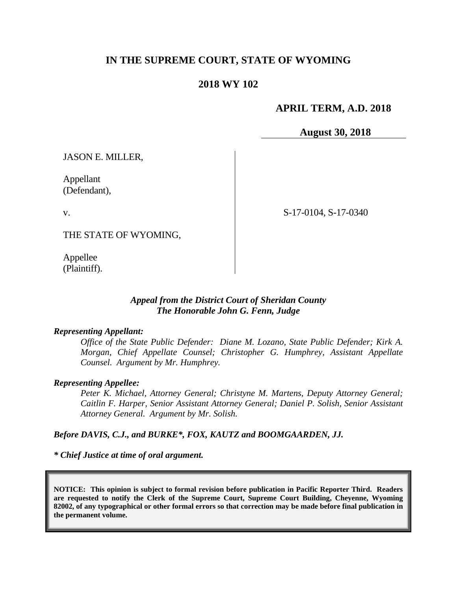# **IN THE SUPREME COURT, STATE OF WYOMING**

## **2018 WY 102**

## **APRIL TERM, A.D. 2018**

**August 30, 2018**

JASON E. MILLER,

Appellant (Defendant),

v.

THE STATE OF WYOMING,

Appellee (Plaintiff). S-17-0104, S-17-0340

#### *Appeal from the District Court of Sheridan County The Honorable John G. Fenn, Judge*

#### *Representing Appellant:*

*Office of the State Public Defender: Diane M. Lozano, State Public Defender; Kirk A. Morgan, Chief Appellate Counsel; Christopher G. Humphrey, Assistant Appellate Counsel. Argument by Mr. Humphrey.*

#### *Representing Appellee:*

*Peter K. Michael, Attorney General; Christyne M. Martens, Deputy Attorney General; Caitlin F. Harper, Senior Assistant Attorney General; Daniel P. Solish, Senior Assistant Attorney General. Argument by Mr. Solish.*

*Before DAVIS, C.J., and BURKE\*, FOX, KAUTZ and BOOMGAARDEN, JJ.*

*\* Chief Justice at time of oral argument.*

**NOTICE: This opinion is subject to formal revision before publication in Pacific Reporter Third. Readers are requested to notify the Clerk of the Supreme Court, Supreme Court Building, Cheyenne, Wyoming 82002, of any typographical or other formal errors so that correction may be made before final publication in the permanent volume.**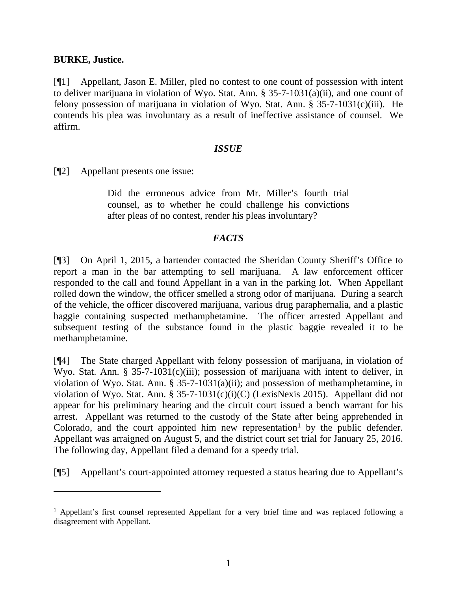#### **BURKE, Justice.**

 $\overline{a}$ 

[¶1] Appellant, Jason E. Miller, pled no contest to one count of possession with intent to deliver marijuana in violation of Wyo. Stat. Ann. § 35-7-1031(a)(ii), and one count of felony possession of marijuana in violation of Wyo. Stat. Ann.  $\S 35-7-1031(c)(iii)$ . He contends his plea was involuntary as a result of ineffective assistance of counsel. We affirm.

## *ISSUE*

[¶2] Appellant presents one issue:

Did the erroneous advice from Mr. Miller's fourth trial counsel, as to whether he could challenge his convictions after pleas of no contest, render his pleas involuntary?

# *FACTS*

[¶3] On April 1, 2015, a bartender contacted the Sheridan County Sheriff's Office to report a man in the bar attempting to sell marijuana. A law enforcement officer responded to the call and found Appellant in a van in the parking lot. When Appellant rolled down the window, the officer smelled a strong odor of marijuana. During a search of the vehicle, the officer discovered marijuana, various drug paraphernalia, and a plastic baggie containing suspected methamphetamine. The officer arrested Appellant and subsequent testing of the substance found in the plastic baggie revealed it to be methamphetamine.

[¶4] The State charged Appellant with felony possession of marijuana, in violation of Wyo. Stat. Ann. § 35-7-1031(c)(iii); possession of marijuana with intent to deliver, in violation of Wyo. Stat. Ann. § 35-7-1031(a)(ii); and possession of methamphetamine, in violation of Wyo. Stat. Ann. § 35-7-1031(c)(i)(C) (LexisNexis 2015). Appellant did not appear for his preliminary hearing and the circuit court issued a bench warrant for his arrest. Appellant was returned to the custody of the State after being apprehended in Colorado, and the court appointed him new representation<sup>[1](#page-1-0)</sup> by the public defender. Appellant was arraigned on August 5, and the district court set trial for January 25, 2016. The following day, Appellant filed a demand for a speedy trial.

[¶5] Appellant's court-appointed attorney requested a status hearing due to Appellant's

<span id="page-1-0"></span><sup>&</sup>lt;sup>1</sup> Appellant's first counsel represented Appellant for a very brief time and was replaced following a disagreement with Appellant.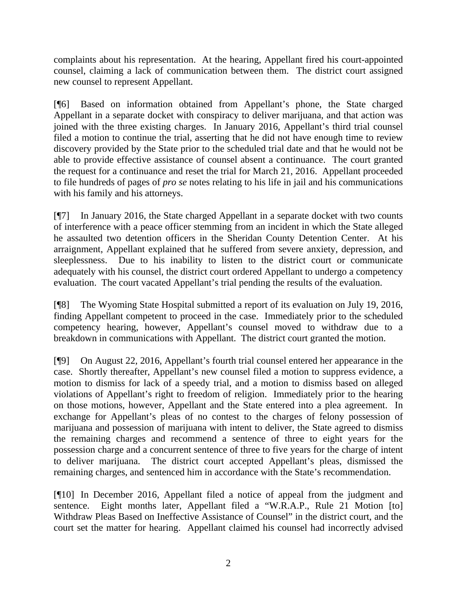complaints about his representation. At the hearing, Appellant fired his court-appointed counsel, claiming a lack of communication between them. The district court assigned new counsel to represent Appellant.

[¶6] Based on information obtained from Appellant's phone, the State charged Appellant in a separate docket with conspiracy to deliver marijuana, and that action was joined with the three existing charges. In January 2016, Appellant's third trial counsel filed a motion to continue the trial, asserting that he did not have enough time to review discovery provided by the State prior to the scheduled trial date and that he would not be able to provide effective assistance of counsel absent a continuance. The court granted the request for a continuance and reset the trial for March 21, 2016. Appellant proceeded to file hundreds of pages of *pro se* notes relating to his life in jail and his communications with his family and his attorneys.

[¶7] In January 2016, the State charged Appellant in a separate docket with two counts of interference with a peace officer stemming from an incident in which the State alleged he assaulted two detention officers in the Sheridan County Detention Center. At his arraignment, Appellant explained that he suffered from severe anxiety, depression, and sleeplessness. Due to his inability to listen to the district court or communicate adequately with his counsel, the district court ordered Appellant to undergo a competency evaluation. The court vacated Appellant's trial pending the results of the evaluation.

[¶8] The Wyoming State Hospital submitted a report of its evaluation on July 19, 2016, finding Appellant competent to proceed in the case. Immediately prior to the scheduled competency hearing, however, Appellant's counsel moved to withdraw due to a breakdown in communications with Appellant. The district court granted the motion.

[¶9] On August 22, 2016, Appellant's fourth trial counsel entered her appearance in the case. Shortly thereafter, Appellant's new counsel filed a motion to suppress evidence, a motion to dismiss for lack of a speedy trial, and a motion to dismiss based on alleged violations of Appellant's right to freedom of religion. Immediately prior to the hearing on those motions, however, Appellant and the State entered into a plea agreement. In exchange for Appellant's pleas of no contest to the charges of felony possession of marijuana and possession of marijuana with intent to deliver, the State agreed to dismiss the remaining charges and recommend a sentence of three to eight years for the possession charge and a concurrent sentence of three to five years for the charge of intent to deliver marijuana. The district court accepted Appellant's pleas, dismissed the remaining charges, and sentenced him in accordance with the State's recommendation.

[¶10] In December 2016, Appellant filed a notice of appeal from the judgment and sentence. Eight months later, Appellant filed a "W.R.A.P., Rule 21 Motion [to] Withdraw Pleas Based on Ineffective Assistance of Counsel" in the district court, and the court set the matter for hearing. Appellant claimed his counsel had incorrectly advised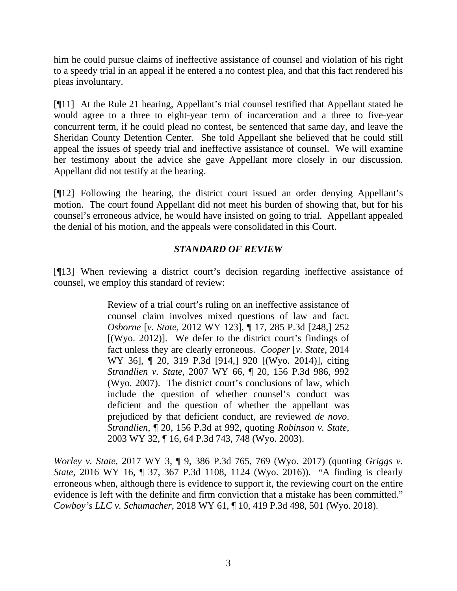him he could pursue claims of ineffective assistance of counsel and violation of his right to a speedy trial in an appeal if he entered a no contest plea, and that this fact rendered his pleas involuntary.

[¶11] At the Rule 21 hearing, Appellant's trial counsel testified that Appellant stated he would agree to a three to eight-year term of incarceration and a three to five-year concurrent term, if he could plead no contest, be sentenced that same day, and leave the Sheridan County Detention Center. She told Appellant she believed that he could still appeal the issues of speedy trial and ineffective assistance of counsel. We will examine her testimony about the advice she gave Appellant more closely in our discussion. Appellant did not testify at the hearing.

[¶12] Following the hearing, the district court issued an order denying Appellant's motion. The court found Appellant did not meet his burden of showing that, but for his counsel's erroneous advice, he would have insisted on going to trial. Appellant appealed the denial of his motion, and the appeals were consolidated in this Court.

# *STANDARD OF REVIEW*

[¶13] When reviewing a district court's decision regarding ineffective assistance of counsel, we employ this standard of review:

> Review of a trial court's ruling on an ineffective assistance of counsel claim involves mixed questions of law and fact. *Osborne* [*v. State*, 2012 WY 123], ¶ 17, 285 P.3d [248,] 252 [(Wyo. 2012)]. We defer to the district court's findings of fact unless they are clearly erroneous. *Cooper* [*v. State*, 2014 WY 36], ¶ 20, 319 P.3d [914,] 920 [(Wyo. 2014)], citing *Strandlien v. State*, 2007 WY 66, ¶ 20, 156 P.3d 986, 992 (Wyo. 2007). The district court's conclusions of law, which include the question of whether counsel's conduct was deficient and the question of whether the appellant was prejudiced by that deficient conduct, are reviewed *de novo*. *Strandlien*, ¶ 20, 156 P.3d at 992, quoting *Robinson v. State*, 2003 WY 32, ¶ 16, 64 P.3d 743, 748 (Wyo. 2003).

*Worley v. State*, 2017 WY 3, ¶ 9, 386 P.3d 765, 769 (Wyo. 2017) (quoting *Griggs v. State*, 2016 WY 16, ¶ 37, 367 P.3d 1108, 1124 (Wyo. 2016)). "A finding is clearly erroneous when, although there is evidence to support it, the reviewing court on the entire evidence is left with the definite and firm conviction that a mistake has been committed." *Cowboy's LLC v. Schumacher*, 2018 WY 61, ¶ 10, 419 P.3d 498, 501 (Wyo. 2018).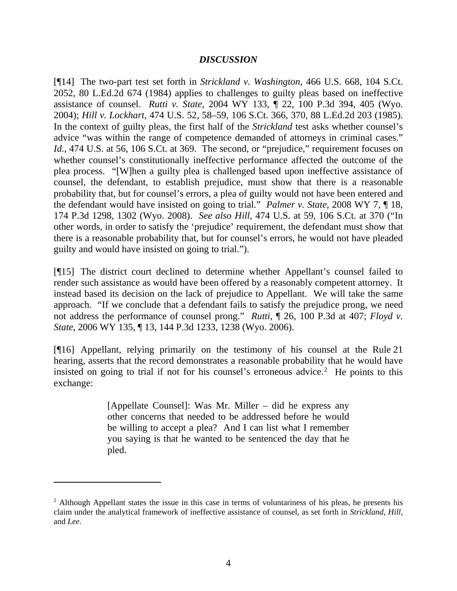### *DISCUSSION*

[¶14] The two-part test set forth in *Strickland v. Washington*, 466 U.S. 668, 104 S.Ct. 2052, 80 L.Ed.2d 674 (1984) applies to challenges to guilty pleas based on ineffective assistance of counsel. *Rutti v. State*, 2004 WY 133, ¶ 22, 100 P.3d 394, 405 (Wyo. 2004); *Hill v. Lockhart*, 474 U.S. 52, 58–59, 106 S.Ct. 366, 370, 88 L.Ed.2d 203 (1985). In the context of guilty pleas, the first half of the *Strickland* test asks whether counsel's advice "was within the range of competence demanded of attorneys in criminal cases." Id., 474 U.S. at 56, 106 S.Ct. at 369. The second, or "prejudice," requirement focuses on whether counsel's constitutionally ineffective performance affected the outcome of the plea process. "[W]hen a guilty plea is challenged based upon ineffective assistance of counsel, the defendant, to establish prejudice, must show that there is a reasonable probability that, but for counsel's errors, a plea of guilty would not have been entered and the defendant would have insisted on going to trial." *Palmer v. State*, 2008 WY 7, ¶ 18, 174 P.3d 1298, 1302 (Wyo. 2008). *See also Hill*, 474 U.S. at 59, 106 S.Ct. at 370 ("In other words, in order to satisfy the 'prejudice' requirement, the defendant must show that there is a reasonable probability that, but for counsel's errors, he would not have pleaded guilty and would have insisted on going to trial.").

[¶15] The district court declined to determine whether Appellant's counsel failed to render such assistance as would have been offered by a reasonably competent attorney. It instead based its decision on the lack of prejudice to Appellant. We will take the same approach. "If we conclude that a defendant fails to satisfy the prejudice prong, we need not address the performance of counsel prong." *Rutti*, ¶ 26, 100 P.3d at 407; *Floyd v. State*, 2006 WY 135, ¶ 13, 144 P.3d 1233, 1238 (Wyo. 2006).

[¶16] Appellant, relying primarily on the testimony of his counsel at the Rule 21 hearing, asserts that the record demonstrates a reasonable probability that he would have insisted on going to trial if not for his counsel's erroneous advice. [2](#page-4-0) He points to this exchange:

> [Appellate Counsel]: Was Mr. Miller – did he express any other concerns that needed to be addressed before he would be willing to accept a plea? And I can list what I remember you saying is that he wanted to be sentenced the day that he pled.

 $\overline{a}$ 

<span id="page-4-0"></span><sup>&</sup>lt;sup>2</sup> Although Appellant states the issue in this case in terms of voluntariness of his pleas, he presents his claim under the analytical framework of ineffective assistance of counsel, as set forth in *Strickland*, *Hill*, and *Lee*.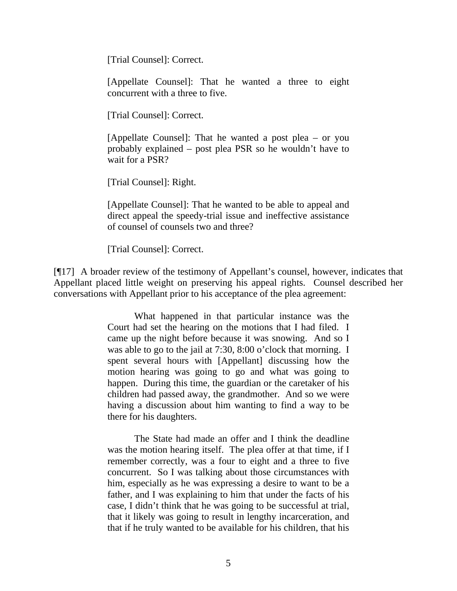[Trial Counsel]: Correct.

[Appellate Counsel]: That he wanted a three to eight concurrent with a three to five.

[Trial Counsel]: Correct.

[Appellate Counsel]: That he wanted a post plea – or you probably explained – post plea PSR so he wouldn't have to wait for a PSR?

[Trial Counsel]: Right.

[Appellate Counsel]: That he wanted to be able to appeal and direct appeal the speedy-trial issue and ineffective assistance of counsel of counsels two and three?

[Trial Counsel]: Correct.

[¶17] A broader review of the testimony of Appellant's counsel, however, indicates that Appellant placed little weight on preserving his appeal rights. Counsel described her conversations with Appellant prior to his acceptance of the plea agreement:

> What happened in that particular instance was the Court had set the hearing on the motions that I had filed. I came up the night before because it was snowing. And so I was able to go to the jail at 7:30, 8:00 o'clock that morning. I spent several hours with [Appellant] discussing how the motion hearing was going to go and what was going to happen. During this time, the guardian or the caretaker of his children had passed away, the grandmother. And so we were having a discussion about him wanting to find a way to be there for his daughters.

> The State had made an offer and I think the deadline was the motion hearing itself. The plea offer at that time, if I remember correctly, was a four to eight and a three to five concurrent. So I was talking about those circumstances with him, especially as he was expressing a desire to want to be a father, and I was explaining to him that under the facts of his case, I didn't think that he was going to be successful at trial, that it likely was going to result in lengthy incarceration, and that if he truly wanted to be available for his children, that his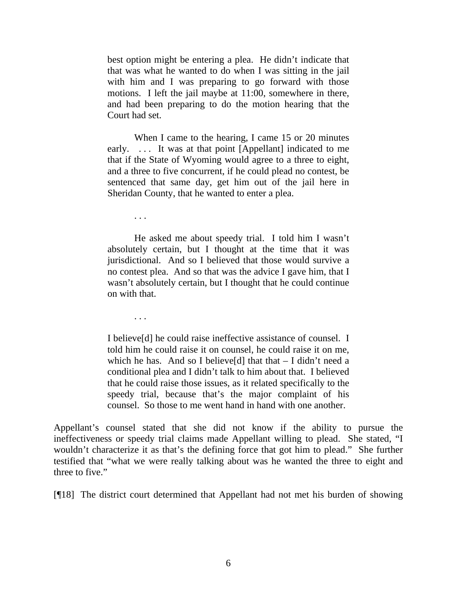best option might be entering a plea. He didn't indicate that that was what he wanted to do when I was sitting in the jail with him and I was preparing to go forward with those motions. I left the jail maybe at 11:00, somewhere in there, and had been preparing to do the motion hearing that the Court had set.

When I came to the hearing, I came 15 or 20 minutes early. ... It was at that point [Appellant] indicated to me that if the State of Wyoming would agree to a three to eight, and a three to five concurrent, if he could plead no contest, be sentenced that same day, get him out of the jail here in Sheridan County, that he wanted to enter a plea.

. . .

He asked me about speedy trial. I told him I wasn't absolutely certain, but I thought at the time that it was jurisdictional. And so I believed that those would survive a no contest plea. And so that was the advice I gave him, that I wasn't absolutely certain, but I thought that he could continue on with that.

. . .

I believe[d] he could raise ineffective assistance of counsel. I told him he could raise it on counsel, he could raise it on me, which he has. And so I believe[d] that that  $-$  I didn't need a conditional plea and I didn't talk to him about that. I believed that he could raise those issues, as it related specifically to the speedy trial, because that's the major complaint of his counsel. So those to me went hand in hand with one another.

Appellant's counsel stated that she did not know if the ability to pursue the ineffectiveness or speedy trial claims made Appellant willing to plead. She stated, "I wouldn't characterize it as that's the defining force that got him to plead." She further testified that "what we were really talking about was he wanted the three to eight and three to five."

[¶18] The district court determined that Appellant had not met his burden of showing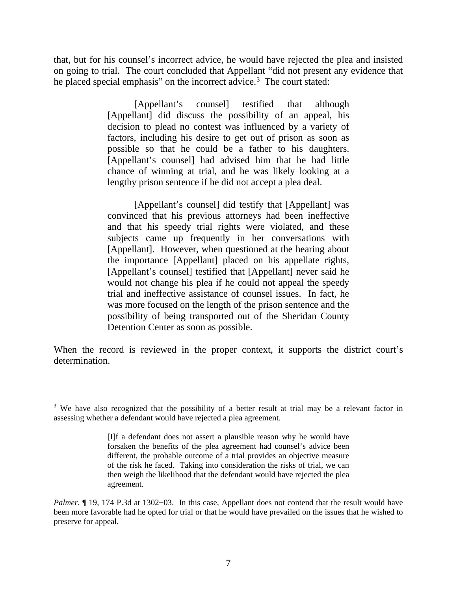that, but for his counsel's incorrect advice, he would have rejected the plea and insisted on going to trial. The court concluded that Appellant "did not present any evidence that he placed special emphasis" on the incorrect advice.<sup>[3](#page-7-0)</sup> The court stated:

> [Appellant's counsel] testified that although [Appellant] did discuss the possibility of an appeal, his decision to plead no contest was influenced by a variety of factors, including his desire to get out of prison as soon as possible so that he could be a father to his daughters. [Appellant's counsel] had advised him that he had little chance of winning at trial, and he was likely looking at a lengthy prison sentence if he did not accept a plea deal.

> [Appellant's counsel] did testify that [Appellant] was convinced that his previous attorneys had been ineffective and that his speedy trial rights were violated, and these subjects came up frequently in her conversations with [Appellant]. However, when questioned at the hearing about the importance [Appellant] placed on his appellate rights, [Appellant's counsel] testified that [Appellant] never said he would not change his plea if he could not appeal the speedy trial and ineffective assistance of counsel issues. In fact, he was more focused on the length of the prison sentence and the possibility of being transported out of the Sheridan County Detention Center as soon as possible.

When the record is reviewed in the proper context, it supports the district court's determination.

 $\overline{a}$ 

<span id="page-7-0"></span><sup>&</sup>lt;sup>3</sup> We have also recognized that the possibility of a better result at trial may be a relevant factor in assessing whether a defendant would have rejected a plea agreement.

<sup>[</sup>I]f a defendant does not assert a plausible reason why he would have forsaken the benefits of the plea agreement had counsel's advice been different, the probable outcome of a trial provides an objective measure of the risk he faced. Taking into consideration the risks of trial, we can then weigh the likelihood that the defendant would have rejected the plea agreement.

*Palmer*, ¶ 19, 174 P.3d at 1302–03. In this case, Appellant does not contend that the result would have been more favorable had he opted for trial or that he would have prevailed on the issues that he wished to preserve for appeal.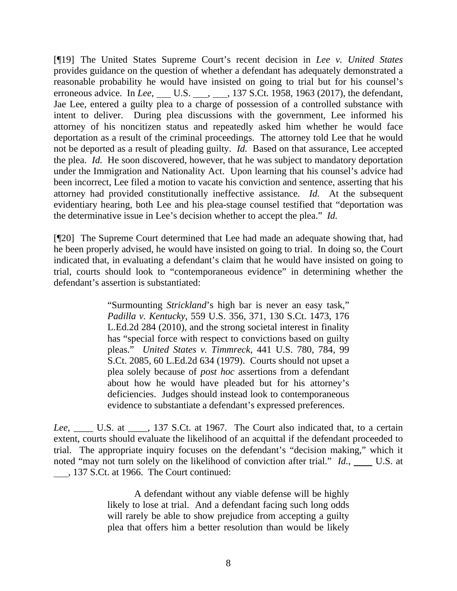[¶19] The United States Supreme Court's recent decision in *Lee v. United States* provides guidance on the question of whether a defendant has adequately demonstrated a reasonable probability he would have insisted on going to trial but for his counsel's erroneous advice. In *Lee*, U.S. , 137 S.Ct. 1958, 1963 (2017), the defendant, Jae Lee, entered a guilty plea to a charge of possession of a controlled substance with intent to deliver. During plea discussions with the government, Lee informed his attorney of his noncitizen status and repeatedly asked him whether he would face deportation as a result of the criminal proceedings. The attorney told Lee that he would not be deported as a result of pleading guilty. *Id.* Based on that assurance, Lee accepted the plea. *Id.* He soon discovered, however, that he was subject to mandatory deportation under the Immigration and Nationality Act. Upon learning that his counsel's advice had been incorrect, Lee filed a motion to vacate his conviction and sentence, asserting that his attorney had provided constitutionally ineffective assistance. *Id.* At the subsequent evidentiary hearing, both Lee and his plea-stage counsel testified that "deportation was the determinative issue in Lee's decision whether to accept the plea." *Id.*

[¶20] The Supreme Court determined that Lee had made an adequate showing that, had he been properly advised, he would have insisted on going to trial. In doing so, the Court indicated that, in evaluating a defendant's claim that he would have insisted on going to trial, courts should look to "contemporaneous evidence" in determining whether the defendant's assertion is substantiated:

> "Surmounting *Strickland*'s high bar is never an easy task," *Padilla v. Kentucky*, 559 U.S. 356, 371, 130 S.Ct. 1473, 176 L.Ed.2d 284 (2010), and the strong societal interest in finality has "special force with respect to convictions based on guilty pleas." *United States v. Timmreck*, 441 U.S. 780, 784, 99 S.Ct. 2085, 60 L.Ed.2d 634 (1979). Courts should not upset a plea solely because of *post hoc* assertions from a defendant about how he would have pleaded but for his attorney's deficiencies. Judges should instead look to contemporaneous evidence to substantiate a defendant's expressed preferences.

Lee, \_\_\_\_\_ U.S. at \_\_\_\_, 137 S.Ct. at 1967. The Court also indicated that, to a certain extent, courts should evaluate the likelihood of an acquittal if the defendant proceeded to trial. The appropriate inquiry focuses on the defendant's "decision making," which it noted "may not turn solely on the likelihood of conviction after trial." *Id.*, U.S. at , 137 S.Ct. at 1966. The Court continued:

> A defendant without any viable defense will be highly likely to lose at trial. And a defendant facing such long odds will rarely be able to show prejudice from accepting a guilty plea that offers him a better resolution than would be likely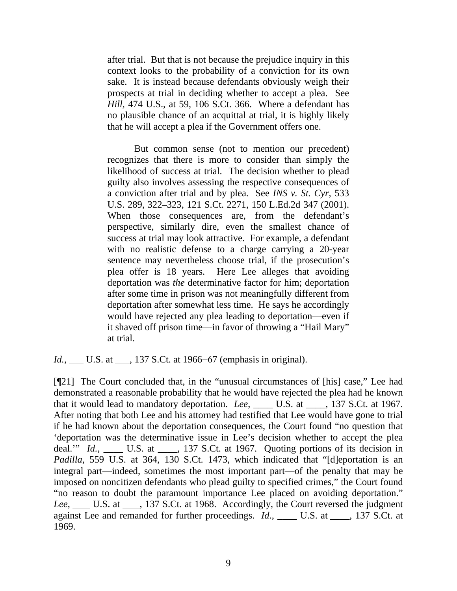after trial. But that is not because the prejudice inquiry in this context looks to the probability of a conviction for its own sake. It is instead because defendants obviously weigh their prospects at trial in deciding whether to accept a plea. See *Hill*, 474 U.S., at 59, 106 S.Ct. 366. Where a defendant has no plausible chance of an acquittal at trial, it is highly likely that he will accept a plea if the Government offers one.

But common sense (not to mention our precedent) recognizes that there is more to consider than simply the likelihood of success at trial. The decision whether to plead guilty also involves assessing the respective consequences of a conviction after trial and by plea. See *INS v. St. Cyr*, 533 U.S. 289, 322–323, 121 S.Ct. 2271, 150 L.Ed.2d 347 (2001). When those consequences are, from the defendant's perspective, similarly dire, even the smallest chance of success at trial may look attractive. For example, a defendant with no realistic defense to a charge carrying a 20-year sentence may nevertheless choose trial, if the prosecution's plea offer is 18 years. Here Lee alleges that avoiding deportation was *the* determinative factor for him; deportation after some time in prison was not meaningfully different from deportation after somewhat less time. He says he accordingly would have rejected any plea leading to deportation—even if it shaved off prison time—in favor of throwing a "Hail Mary" at trial.

*Id.*, U.S. at <sub>137</sub> S.Ct. at 1966–67 (emphasis in original).

[¶21] The Court concluded that, in the "unusual circumstances of [his] case," Lee had demonstrated a reasonable probability that he would have rejected the plea had he known that it would lead to mandatory deportation. *Lee*, \_\_\_\_ U.S. at \_\_\_\_, 137 S.Ct. at 1967. After noting that both Lee and his attorney had testified that Lee would have gone to trial if he had known about the deportation consequences, the Court found "no question that 'deportation was the determinative issue in Lee's decision whether to accept the plea deal." *Id.*, \_\_\_\_\_ U.S. at \_\_\_\_, 137 S.Ct. at 1967. Quoting portions of its decision in *Padilla*, 559 U.S. at 364, 130 S.Ct. 1473, which indicated that "[d]eportation is an integral part—indeed, sometimes the most important part—of the penalty that may be imposed on noncitizen defendants who plead guilty to specified crimes," the Court found "no reason to doubt the paramount importance Lee placed on avoiding deportation." *Lee*, U.S. at 137 S.Ct. at 1968. Accordingly, the Court reversed the judgment against Lee and remanded for further proceedings. *Id.*, \_\_\_\_\_ U.S. at \_\_\_\_, 137 S.Ct. at 1969.